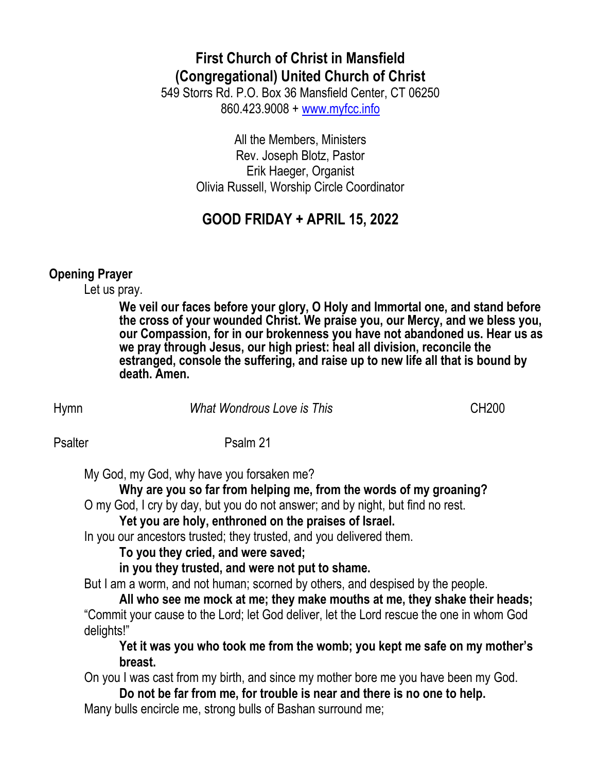# **First Church of Christ in Mansfield (Congregational) United Church of Christ**

549 Storrs Rd. P.O. Box 36 Mansfield Center, CT 06250 860.423.9008 + [www.myfcc.info](http://www.myfcc.info/)

> All the Members, Ministers Rev. Joseph Blotz, Pastor Erik Haeger, Organist Olivia Russell, Worship Circle Coordinator

## **GOOD FRIDAY + APRIL 15, 2022**

#### **Opening Prayer**

Let us pray.

**We veil our faces before your glory, O Holy and Immortal one, and stand before the cross of your wounded Christ. We praise you, our Mercy, and we bless you, our Compassion, for in our brokenness you have not abandoned us. Hear us as we pray through Jesus, our high priest: heal all division, reconcile the estranged, console the suffering, and raise up to new life all that is bound by death. Amen.**

Hymn *What Wondrous Love is This* CH200

Psalter Psalm 21

My God, my God, why have you forsaken me?

**Why are you so far from helping me, from the words of my groaning?**

O my God, I cry by day, but you do not answer; and by night, but find no rest.

**Yet you are holy, enthroned on the praises of Israel.**

In you our ancestors trusted; they trusted, and you delivered them.

**To you they cried, and were saved;**

**in you they trusted, and were not put to shame.**

But I am a worm, and not human; scorned by others, and despised by the people.

**All who see me mock at me; they make mouths at me, they shake their heads;** "Commit your cause to the Lord; let God deliver, let the Lord rescue the one in whom God delights!"

**Yet it was you who took me from the womb; you kept me safe on my mother's breast.**

On you I was cast from my birth, and since my mother bore me you have been my God.

**Do not be far from me, for trouble is near and there is no one to help.** Many bulls encircle me, strong bulls of Bashan surround me;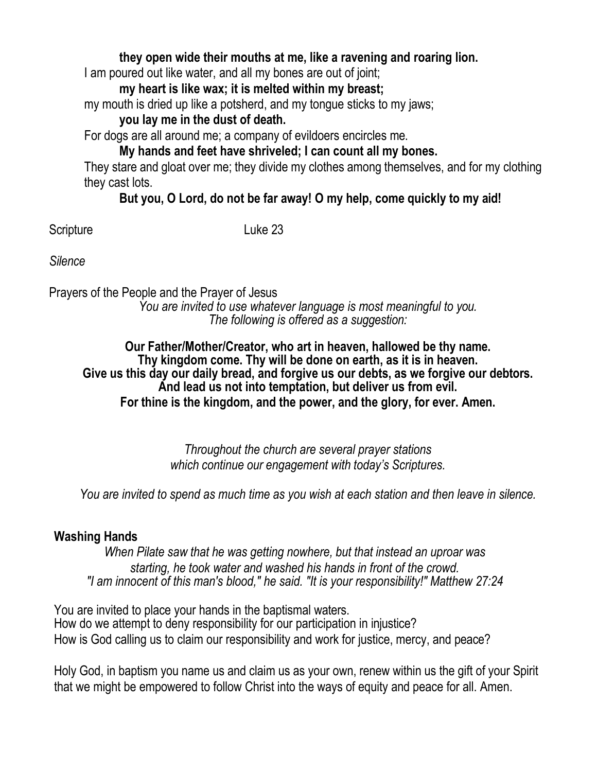#### **they open wide their mouths at me, like a ravening and roaring lion.**

I am poured out like water, and all my bones are out of joint;

**my heart is like wax; it is melted within my breast;**

my mouth is dried up like a potsherd, and my tongue sticks to my jaws;

## **you lay me in the dust of death.**

For dogs are all around me; a company of evildoers encircles me.

## **My hands and feet have shriveled; I can count all my bones.**

They stare and gloat over me; they divide my clothes among themselves, and for my clothing they cast lots.

### **But you, O Lord, do not be far away! O my help, come quickly to my aid!**

Scripture Luke 23

*Silence*

Prayers of the People and the Prayer of Jesus *You are invited to use whatever language is most meaningful to you. The following is offered as a suggestion:*

#### **Our Father/Mother/Creator, who art in heaven, hallowed be thy name. Thy kingdom come. Thy will be done on earth, as it is in heaven. Give us this day our daily bread, and forgive us our debts, as we forgive our debtors. And lead us not into temptation, but deliver us from evil. For thine is the kingdom, and the power, and the glory, for ever. Amen.**

*Throughout the church are several prayer stations which continue our engagement with today's Scriptures.*

*You are invited to spend as much time as you wish at each station and then leave in silence.*

### **Washing Hands**

*When Pilate saw that he was getting nowhere, but that instead an uproar was starting, he took water and washed his hands in front of the crowd. "I am innocent of this man's blood," he said. "It is your responsibility!" Matthew 27:24*

You are invited to place your hands in the baptismal waters. How do we attempt to deny responsibility for our participation in injustice? How is God calling us to claim our responsibility and work for justice, mercy, and peace?

Holy God, in baptism you name us and claim us as your own, renew within us the gift of your Spirit that we might be empowered to follow Christ into the ways of equity and peace for all. Amen.